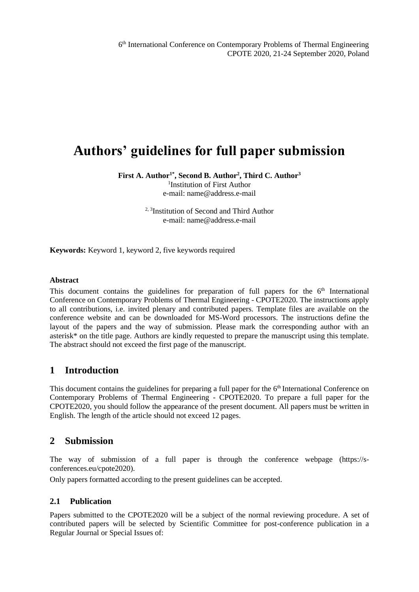6 th International Conference on Contemporary Problems of Thermal Engineering CPOTE 2020, 21-24 September 2020, Poland

# **Authors' guidelines for full paper submission**

**First A. Author1\* , Second B. Author<sup>2</sup> , Third C. Author<sup>3</sup>**

1 Institution of First Author e-mail: name@address.e-mail

<sup>2, 3</sup>Institution of Second and Third Author e-mail: name@address.e-mail

**Keywords:** Keyword 1, keyword 2, five keywords required

#### **Abstract**

This document contains the guidelines for preparation of full papers for the  $6<sup>th</sup>$  International Conference on Contemporary Problems of Thermal Engineering - CPOTE2020. The instructions apply to all contributions, i.e. invited plenary and contributed papers. Template files are available on the conference website and can be downloaded for MS-Word processors. The instructions define the layout of the papers and the way of submission. Please mark the corresponding author with an asterisk\* on the title page. Authors are kindly requested to prepare the manuscript using this template. The abstract should not exceed the first page of the manuscript.

#### **1 Introduction**

This document contains the guidelines for preparing a full paper for the 6<sup>th</sup> International Conference on Contemporary Problems of Thermal Engineering - CPOTE2020. To prepare a full paper for the CPOTE2020, you should follow the appearance of the present document. All papers must be written in English. The length of the article should not exceed 12 pages.

#### **2 Submission**

The way of submission of a full paper is through the conference webpage (https://sconferences.eu/cpote2020).

Only papers formatted according to the present guidelines can be accepted.

#### **2.1 Publication**

Papers submitted to the CPOTE2020 will be a subject of the normal reviewing procedure. A set of contributed papers will be selected by Scientific Committee for post-conference publication in a Regular Journal or Special Issues of: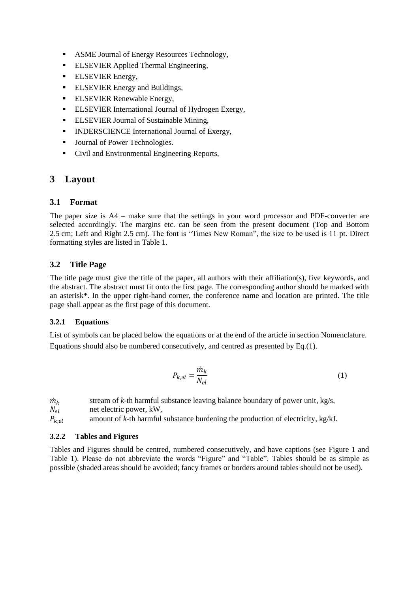- ASME Journal of Energy Resources Technology,
- **ELSEVIER Applied Thermal Engineering,**
- **ELSEVIER Energy,**
- **ELSEVIER Energy and Buildings,**
- **ELSEVIER Renewable Energy,**
- **ELSEVIER International Journal of Hydrogen Exergy,**
- **ELSEVIER Journal of Sustainable Mining,**
- INDERSCIENCE International Journal of Exergy,
- Journal of Power Technologies.
- Civil and Environmental Engineering Reports,

## **3 Layout**

#### **3.1 Format**

The paper size is A4 – make sure that the settings in your word processor and PDF-converter are selected accordingly. The margins etc. can be seen from the present document (Top and Bottom 2.5 cm; Left and Right 2.5 cm). The font is "Times New Roman", the size to be used is 11 pt. Direct formatting styles are listed in Table 1.

#### **3.2 Title Page**

The title page must give the title of the paper, all authors with their affiliation(s), five keywords, and the abstract. The abstract must fit onto the first page. The corresponding author should be marked with an asterisk\*. In the upper right-hand corner, the conference name and location are printed. The title page shall appear as the first page of this document.

#### **3.2.1 Equations**

List of symbols can be placed below the equations or at the end of the article in section Nomenclature. Equations should also be numbered consecutively, and centred as presented by Eq.(1).

$$
P_{k,el} = \frac{\dot{m}_k}{N_{el}}\tag{1}
$$

 $\dot{m}_{k}$  stream of *k*-th harmful substance leaving balance boundary of power unit, kg/s,  $N_{el}$  net electric power, kW,<br> $P_{k,el}$  amount of k-th harmful , amount of *k*-th harmful substance burdening the production of electricity, kg/kJ.

#### **3.2.2 Tables and Figures**

Tables and Figures should be centred, numbered consecutively, and have captions (see Figure 1 and Table 1). Please do not abbreviate the words "Figure" and "Table". Tables should be as simple as possible (shaded areas should be avoided; fancy frames or borders around tables should not be used).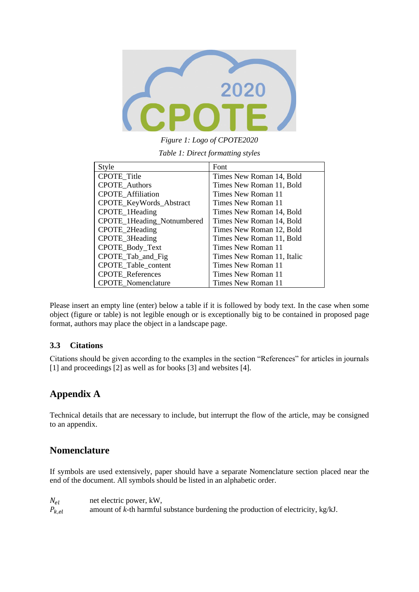

*Figure 1: Logo of CPOTE2020*

*Table 1: Direct formatting styles*

| Style                      | Font                       |
|----------------------------|----------------------------|
| CPOTE_Title                | Times New Roman 14, Bold   |
| <b>CPOTE_Authors</b>       | Times New Roman 11, Bold   |
| <b>CPOTE</b> Affiliation   | Times New Roman 11         |
| CPOTE_KeyWords_Abstract    | Times New Roman 11         |
| CPOTE_1Heading             | Times New Roman 14, Bold   |
| CPOTE_1Heading_Notnumbered | Times New Roman 14, Bold   |
| CPOTE_2Heading             | Times New Roman 12, Bold   |
| CPOTE_3Heading             | Times New Roman 11, Bold   |
| CPOTE_Body_Text            | Times New Roman 11         |
| CPOTE_Tab_and_Fig          | Times New Roman 11, Italic |
| <b>CPOTE</b> Table content | Times New Roman 11         |
| <b>CPOTE References</b>    | Times New Roman 11         |
| <b>CPOTE</b> Nomenclature  | Times New Roman 11         |

Please insert an empty line (enter) below a table if it is followed by body text. In the case when some object (figure or table) is not legible enough or is exceptionally big to be contained in proposed page format, authors may place the object in a landscape page.

#### **3.3 Citations**

Citations should be given according to the examples in the section "References" for articles in journals [1] and proceedings [2] as well as for books [3] and websites [4].

# **Appendix A**

Technical details that are necessary to include, but interrupt the flow of the article, may be consigned to an appendix.

### **Nomenclature**

If symbols are used extensively, paper should have a separate Nomenclature section placed near the end of the document. All symbols should be listed in an alphabetic order.

 $N_{el}$  net electric power, kW,  $P_{k,el}$  amount of *k*-th harmful substance burdening the production of electricity, kg/kJ.